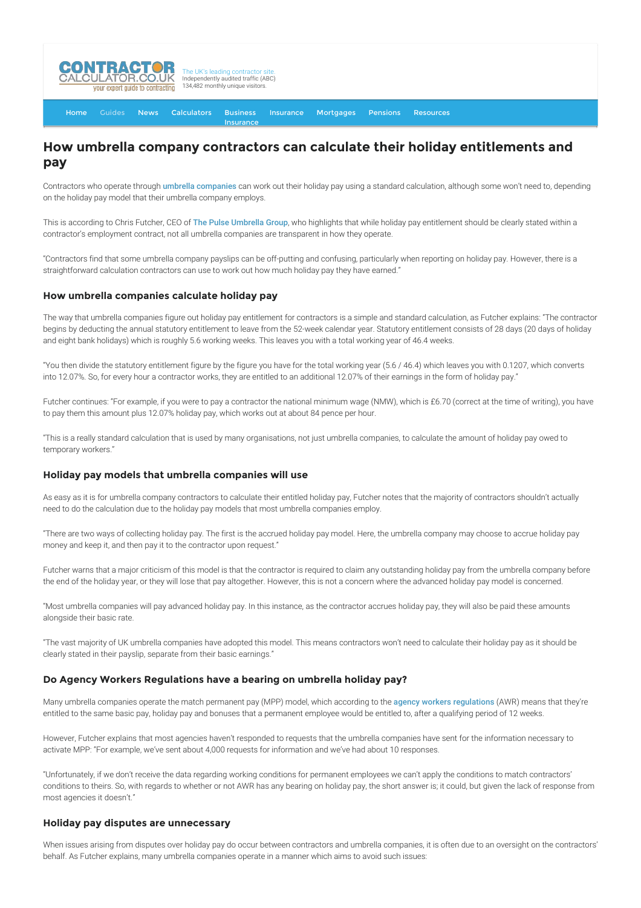

[Home](http://www.contractorcalculator.co.uk/) [Guides](http://www.contractorcalculator.co.uk/Articles.aspx) [News](http://www.contractorcalculator.co.uk/Contractor_News.aspx) [Calculators](http://www.contractorcalculator.co.uk/Calculators.aspx) Business [Insurance](http://www.contractorcalculator.co.uk/Contractor_Insurances.aspx) [Insurance](http://www.contractorcalculator.co.uk/Insurance.aspx) [Mortgages](http://www.contractorcalculator.co.uk/Contractor_Mortgages.aspx) [Pensions](http://www.contractorcalculator.co.uk/Contractor_Pensions.aspx) [Resources](http://www.contractorcalculator.co.uk/Contractor_Resources.aspx)

# **How umbrella company contractors can calculate their holiday entitlements and pay**

Contractors who operate through [umbrella companies](http://www.contractorcalculator.co.uk/what_is_umbrella_contractor.aspx) can work out their holiday pay using a standard calculation, although some won't need to, depending on the holiday pay model that their umbrella company employs.

This is according to Chris Futcher, CEO of [The Pulse Umbrella Group](http://www.pulseumbrella.com/), who highlights that while holiday pay entitlement should be clearly stated within a contractor's employment contract, not all umbrella companies are transparent in how they operate.

"Contractors find that some umbrella company payslips can be off-putting and confusing, particularly when reporting on holiday pay. However, there is a straightforward calculation contractors can use to work out how much holiday pay they have earned."

#### **How umbrella companies calculate holiday pay**

The way that umbrella companies figure out holiday pay entitlement for contractors is a simple and standard calculation, as Futcher explains: "The contractor begins by deducting the annual statutory entitlement to leave from the 52-week calendar year. Statutory entitlement consists of 28 days (20 days of holiday and eight bank holidays) which is roughly 5.6 working weeks. This leaves you with a total working year of 46.4 weeks.

"You then divide the statutory entitlement figure by the figure you have for the total working year (5.6 / 46.4) which leaves you with 0.1207, which converts into 12.07%. So, for every hour a contractor works, they are entitled to an additional 12.07% of their earnings in the form of holiday pay."

Futcher continues: "For example, if you were to pay a contractor the national minimum wage (NMW), which is £6.70 (correct at the time of writing), you have to pay them this amount plus 12.07% holiday pay, which works out at about 84 pence per hour.

"This is a really standard calculation that is used by many organisations, not just umbrella companies, to calculate the amount of holiday pay owed to temporary workers."

#### **Holiday pay models that umbrella companies will use**

As easy as it is for umbrella company contractors to calculate their entitled holiday pay, Futcher notes that the majority of contractors shouldn't actually need to do the calculation due to the holiday pay models that most umbrella companies employ.

"There are two ways of collecting holiday pay. The first is the accrued holiday pay model. Here, the umbrella company may choose to accrue holiday pay money and keep it, and then pay it to the contractor upon request."

Futcher warns that a major criticism of this model is that the contractor is required to claim any outstanding holiday pay from the umbrella company before the end of the holiday year, or they will lose that pay altogether. However, this is not a concern where the advanced holiday pay model is concerned.

"Most umbrella companies will pay advanced holiday pay. In this instance, as the contractor accrues holiday pay, they will also be paid these amounts alongside their basic rate.

"The vast majority of UK umbrella companies have adopted this model. This means contractors won't need to calculate their holiday pay as it should be clearly stated in their payslip, separate from their basic earnings."

## **Do Agency Workers Regulations have a bearing on umbrella holiday pay?**

Many umbrella companies operate the match permanent pay (MPP) model, which according to the [agency workers regulations](http://www.contractorcalculator.co.uk/contracting_guide_agency_workers_regulations.aspx) (AWR) means that they're entitled to the same basic pay, holiday pay and bonuses that a permanent employee would be entitled to, after a qualifying period of 12 weeks.

However, Futcher explains that most agencies haven't responded to requests that the umbrella companies have sent for the information necessary to activate MPP: "For example, we've sent about 4,000 requests for information and we've had about 10 responses.

"Unfortunately, if we don't receive the data regarding working conditions for permanent employees we can't apply the conditions to match contractors' conditions to theirs. So, with regards to whether or not AWR has any bearing on holiday pay, the short answer is; it could, but given the lack of response from most agencies it doesn't."

## **Holiday pay disputes are unnecessary**

When issues arising from disputes over holiday pay do occur between contractors and umbrella companies, it is often due to an oversight on the contractors' behalf. As Futcher explains, many umbrella companies operate in a manner which aims to avoid such issues: